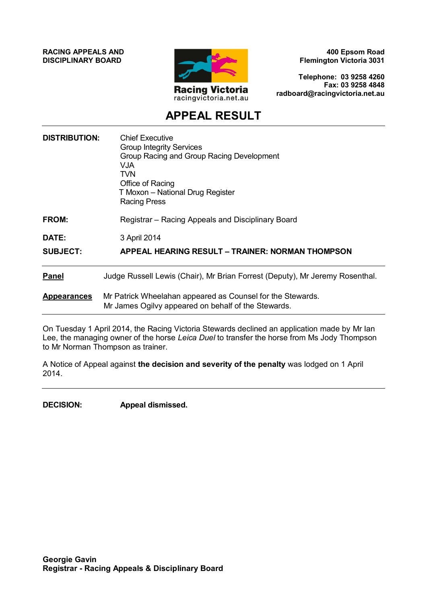**RACING APPEALS AND DISCIPLINARY BOARD**



**400 Epsom Road Flemington Victoria 3031**

**Telephone: 03 9258 4260 Fax: 03 9258 4848 radboard@racingvictoria.net.au**

# **APPEAL RESULT**

| <b>DISTRIBUTION:</b> | <b>Chief Executive</b><br><b>Group Integrity Services</b><br>Group Racing and Group Racing Development<br>VJA<br>TVN<br>Office of Racing<br>T Moxon - National Drug Register<br><b>Racing Press</b> |
|----------------------|-----------------------------------------------------------------------------------------------------------------------------------------------------------------------------------------------------|
| FROM:                | Registrar – Racing Appeals and Disciplinary Board                                                                                                                                                   |
| DATE:                | 3 April 2014                                                                                                                                                                                        |
| <b>SUBJECT:</b>      | APPEAL HEARING RESULT - TRAINER: NORMAN THOMPSON                                                                                                                                                    |
| <b>Panel</b>         | Judge Russell Lewis (Chair), Mr Brian Forrest (Deputy), Mr Jeremy Rosenthal.                                                                                                                        |
| <b>Appearances</b>   | Mr Patrick Wheelahan appeared as Counsel for the Stewards.<br>Mr James Ogilvy appeared on behalf of the Stewards.                                                                                   |

On Tuesday 1 April 2014, the Racing Victoria Stewards declined an application made by Mr Ian Lee, the managing owner of the horse *Leica Duel* to transfer the horse from Ms Jody Thompson to Mr Norman Thompson as trainer.

A Notice of Appeal against **the decision and severity of the penalty** was lodged on 1 April 2014.

**DECISION: Appeal dismissed.**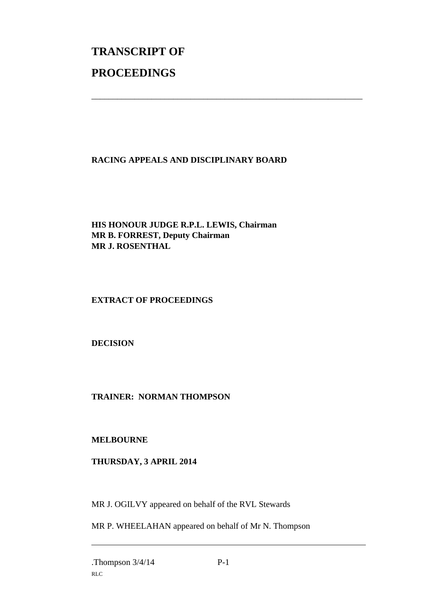# **TRANSCRIPT OF PROCEEDINGS**

# **RACING APPEALS AND DISCIPLINARY BOARD**

\_\_\_\_\_\_\_\_\_\_\_\_\_\_\_\_\_\_\_\_\_\_\_\_\_\_\_\_\_\_\_\_\_\_\_\_\_\_\_\_\_\_\_\_\_\_\_\_\_\_\_\_\_\_\_\_\_\_\_\_\_\_\_

# **HIS HONOUR JUDGE R.P.L. LEWIS, Chairman MR B. FORREST, Deputy Chairman MR J. ROSENTHAL**

# **EXTRACT OF PROCEEDINGS**

# **DECISION**

# **TRAINER: NORMAN THOMPSON**

# **MELBOURNE**

# **THURSDAY, 3 APRIL 2014**

MR J. OGILVY appeared on behalf of the RVL Stewards

MR P. WHEELAHAN appeared on behalf of Mr N. Thompson

 $\overline{a}$